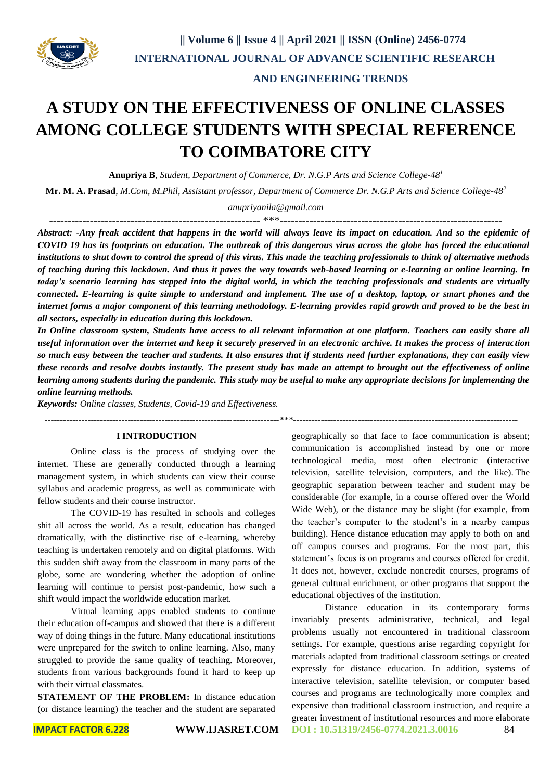

# **AND ENGINEERING TRENDS**

# **A STUDY ON THE EFFECTIVENESS OF ONLINE CLASSES AMONG COLLEGE STUDENTS WITH SPECIAL REFERENCE TO COIMBATORE CITY**

**Anupriya B**, *Student, Department of Commerce, Dr. N.G.P Arts and Science College-48<sup>1</sup>*

**Mr. M. A. Prasad**, *M.Com, M.Phil, Assistant professor, Department of Commerce Dr. N.G.P Arts and Science College-48<sup>2</sup>*

*anupriyanila@gmail.com*

--------------------------------------------------------- \*\*\*------------------------------------------------------------

*Abstract: -Any freak accident that happens in the world will always leave its impact on education. And so the epidemic of COVID 19 has its footprints on education. The outbreak of this dangerous virus across the globe has forced the educational institutions to shut down to control the spread of this virus. This made the teaching professionals to think of alternative methods of teaching during this lockdown. And thus it paves the way towards web-based learning or e-learning or online learning. In today's scenario learning has stepped into the digital world, in which the teaching professionals and students are virtually connected. E-learning is quite simple to understand and implement. The use of a desktop, laptop, or smart phones and the internet forms a major component of this learning methodology. E-learning provides rapid growth and proved to be the best in all sectors, especially in education during this lockdown.*

*In Online classroom system, Students have access to all relevant information at one platform. Teachers can easily share all useful information over the internet and keep it securely preserved in an electronic archive. It makes the process of interaction so much easy between the teacher and students. It also ensures that if students need further explanations, they can easily view these records and resolve doubts instantly. The present study has made an attempt to brought out the effectiveness of online learning among students during the pandemic. This study may be useful to make any appropriate decisions for implementing the online learning methods.*

*Keywords: Online classes, Students, Covid-19 and Effectiveness.*

*----------------------------------------------------------------------------\*\*\*-------------------------------------------------------------------------*

#### **I INTRODUCTION**

Online class is the process of studying over the internet. These are generally conducted through a learning management system, in which students can view their course syllabus and academic progress, as well as communicate with fellow students and their course instructor.

The COVID-19 has resulted in schools and colleges shit all across the world. As a result, education has changed dramatically, with the distinctive rise of e-learning, whereby teaching is undertaken remotely and on digital platforms. With this sudden shift away from the classroom in many parts of the globe, some are wondering whether the adoption of online learning will continue to persist post-pandemic, how such a shift would impact the worldwide education market.

Virtual learning apps enabled students to continue their education off-campus and showed that there is a different way of doing things in the future. Many educational institutions were unprepared for the switch to online learning. Also, many struggled to provide the same quality of teaching. Moreover, students from various backgrounds found it hard to keep up with their virtual classmates.

**STATEMENT OF THE PROBLEM:** In distance education (or distance learning) the teacher and the student are separated geographically so that face to face communication is absent; communication is accomplished instead by one or more technological media, most often electronic (interactive television, satellite television, computers, and the like). The geographic separation between teacher and student may be considerable (for example, in a course offered over the World Wide Web), or the distance may be slight (for example, from the teacher's computer to the student's in a nearby campus building). Hence distance education may apply to both on and off campus courses and programs. For the most part, this statement's focus is on programs and courses offered for credit. It does not, however, exclude noncredit courses, programs of general cultural enrichment, or other programs that support the educational objectives of the institution.

**IMPACT FACTOR 6.228 WWW.IJASRET.COM DOI : 10.51319/2456-0774.2021.3.0016** 84 Distance education in its contemporary forms invariably presents administrative, technical, and legal problems usually not encountered in traditional classroom settings. For example, questions arise regarding copyright for materials adapted from traditional classroom settings or created expressly for distance education. In addition, systems of interactive television, satellite television, or computer based courses and programs are technologically more complex and expensive than traditional classroom instruction, and require a greater investment of institutional resources and more elaborate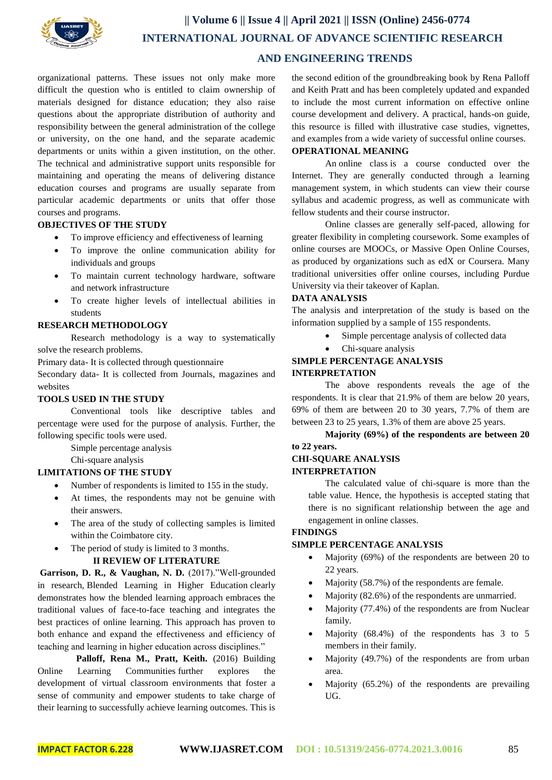

organizational patterns. These issues not only make more difficult the question who is entitled to claim ownership of materials designed for distance education; they also raise questions about the appropriate distribution of authority and responsibility between the general administration of the college or university, on the one hand, and the separate academic departments or units within a given institution, on the other. The technical and administrative support units responsible for maintaining and operating the means of delivering distance education courses and programs are usually separate from particular academic departments or units that offer those courses and programs.

#### **OBJECTIVES OF THE STUDY**

- To improve efficiency and effectiveness of learning
- To improve the online communication ability for individuals and groups
- To maintain current technology hardware, software and network infrastructure
- To create higher levels of intellectual abilities in students

# **RESEARCH METHODOLOGY**

Research methodology is a way to systematically solve the research problems.

Primary data- It is collected through questionnaire

Secondary data- It is collected from Journals, magazines and websites

#### **TOOLS USED IN THE STUDY**

Conventional tools like descriptive tables and percentage were used for the purpose of analysis. Further, the following specific tools were used.

Simple percentage analysis

Chi-square analysis

#### **LIMITATIONS OF THE STUDY**

- Number of respondents is limited to 155 in the study.
- At times, the respondents may not be genuine with their answers.
- The area of the study of collecting samples is limited within the Coimbatore city.
- The period of study is limited to 3 months.

#### **II REVIEW OF LITERATURE**

**Garrison, D. R., & Vaughan, N. D.** (2017)."Well-grounded in research, Blended Learning in Higher Education clearly demonstrates how the blended learning approach embraces the traditional values of face-to-face teaching and integrates the best practices of online learning. This approach has proven to both enhance and expand the effectiveness and efficiency of teaching and learning in higher education across disciplines."

Palloff, Rena M., Pratt, Keith. (2016) Building Online Learning Communities further explores the development of virtual classroom environments that foster a sense of community and empower students to take charge of their learning to successfully achieve learning outcomes. This is

the second edition of the groundbreaking book by Rena Palloff and Keith Pratt and has been completely updated and expanded to include the most current information on effective online course development and delivery. A practical, hands-on guide, this resource is filled with illustrative case studies, vignettes, and examples from a wide variety of successful online courses.

# **OPERATIONAL MEANING**

An online class is a course conducted over the Internet. They are generally conducted through a learning management system, in which students can view their course syllabus and academic progress, as well as communicate with fellow students and their course instructor.

Online classes are generally self-paced, allowing for greater flexibility in completing coursework. Some examples of online courses are MOOCs, or Massive Open Online Courses, as produced by organizations such as edX or Coursera. Many traditional universities offer online courses, including Purdue University via their takeover of Kaplan.

#### **DATA ANALYSIS**

The analysis and interpretation of the study is based on the information supplied by a sample of 155 respondents.

- Simple percentage analysis of collected data
- Chi-square analysis

#### **SIMPLE PERCENTAGE ANALYSIS INTERPRETATION**

The above respondents reveals the age of the respondents. It is clear that 21.9% of them are below 20 years, 69% of them are between 20 to 30 years, 7.7% of them are between 23 to 25 years, 1.3% of them are above 25 years.

**Majority (69%) of the respondents are between 20 to 22 years.**

# **CHI-SQUARE ANALYSIS INTERPRETATION**

The calculated value of chi-square is more than the table value. Hence, the hypothesis is accepted stating that there is no significant relationship between the age and engagement in online classes.

#### **FINDINGS**

# **SIMPLE PERCENTAGE ANALYSIS**

- Majority (69%) of the respondents are between 20 to 22 years.
- Majority (58.7%) of the respondents are female.
- Majority (82.6%) of the respondents are unmarried.
- Majority (77.4%) of the respondents are from Nuclear family.
- Majority (68.4%) of the respondents has 3 to 5 members in their family.
- Majority (49.7%) of the respondents are from urban area.
- Majority (65.2%) of the respondents are prevailing UG.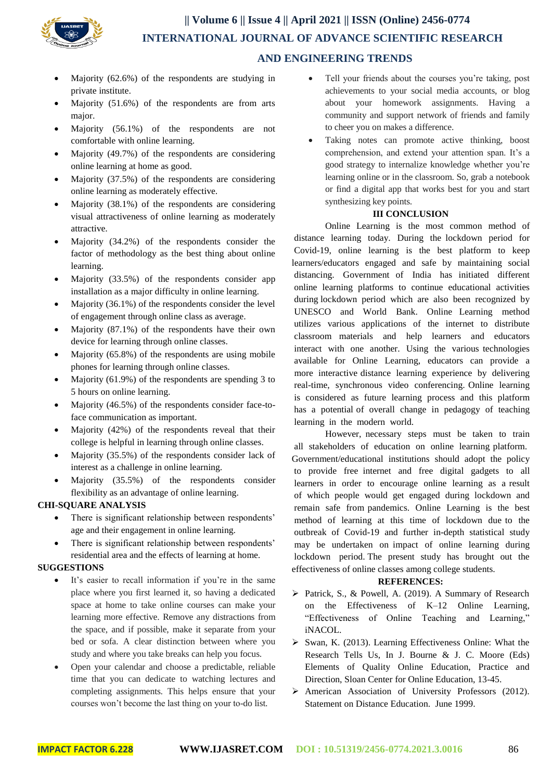

# **|| Volume 6 || Issue 4 || April 2021 || ISSN (Online) 2456-0774 INTERNATIONAL JOURNAL OF ADVANCE SCIENTIFIC RESEARCH AND ENGINEERING TRENDS**

- Majority (62.6%) of the respondents are studying in private institute.
- $\bullet$  Majority (51.6%) of the respondents are from arts major.
- Majority (56.1%) of the respondents are not comfortable with online learning.
- Majority (49.7%) of the respondents are considering online learning at home as good.
- Majority (37.5%) of the respondents are considering online learning as moderately effective.
- Majority (38.1%) of the respondents are considering visual attractiveness of online learning as moderately attractive.
- Majority (34.2%) of the respondents consider the factor of methodology as the best thing about online learning.
- Majority (33.5%) of the respondents consider app installation as a major difficulty in online learning.
- Majority  $(36.1\%)$  of the respondents consider the level of engagement through online class as average.
- Majority  $(87.1\%)$  of the respondents have their own device for learning through online classes.
- Majority  $(65.8\%)$  of the respondents are using mobile phones for learning through online classes.
- Majority (61.9%) of the respondents are spending 3 to 5 hours on online learning.
- Majority (46.5%) of the respondents consider face-toface communication as important.
- Majority (42%) of the respondents reveal that their college is helpful in learning through online classes.
- Majority (35.5%) of the respondents consider lack of interest as a challenge in online learning.
- Majority (35.5%) of the respondents consider flexibility as an advantage of online learning.

# **CHI-SQUARE ANALYSIS**

- There is significant relationship between respondents' age and their engagement in online learning.
- There is significant relationship between respondents' residential area and the effects of learning at home.

# **SUGGESTIONS**

- It's easier to recall information if you're in the same place where you first learned it, so having a dedicated space at home to take online courses can make your learning more effective. Remove any distractions from the space, and if possible, make it separate from your bed or sofa. A clear distinction between where you study and where you take breaks can help you focus.
- Open your calendar and choose a predictable, reliable time that you can dedicate to watching lectures and completing assignments. This helps ensure that your courses won't become the last thing on your to-do list.
- Tell your friends about the courses you're taking, post achievements to your social media accounts, or blog about your homework assignments. Having a community and support network of friends and family to cheer you on makes a difference.
- Taking notes can promote active thinking, boost comprehension, and extend your attention span. It's a good strategy to internalize knowledge whether you're learning online or in the classroom. So, grab a notebook or find a digital app that works best for you and start synthesizing key points.

# **III CONCLUSION**

Online Learning is the most common method of distance learning today. During the lockdown period for Covid-19, online learning is the best platform to keep learners/educators engaged and safe by maintaining social distancing. Government of India has initiated different online learning platforms to continue educational activities during lockdown period which are also been recognized by UNESCO and World Bank. Online Learning method utilizes various applications of the internet to distribute classroom materials and help learners and educators interact with one another. Using the various technologies available for Online Learning, educators can provide a more interactive distance learning experience by delivering real-time, synchronous video conferencing. Online learning is considered as future learning process and this platform has a potential of overall change in pedagogy of teaching learning in the modern world.

However, necessary steps must be taken to train all stakeholders of education on online learning platform. Government/educational institutions should adopt the policy to provide free internet and free digital gadgets to all learners in order to encourage online learning as a result of which people would get engaged during lockdown and remain safe from pandemics. Online Learning is the best method of learning at this time of lockdown due to the outbreak of Covid-19 and further in-depth statistical study may be undertaken on impact of online learning during lockdown period. The present study has brought out the effectiveness of online classes among college students.

# **REFERENCES:**

- ▶ Patrick, S., & Powell, A. (2019). A Summary of Research on the Effectiveness of K–12 Online Learning, "Effectiveness of Online Teaching and Learning," iNACOL.
- $\triangleright$  Swan, K. (2013). Learning Effectiveness Online: What the Research Tells Us, In J. Bourne & J. C. Moore (Eds) Elements of Quality Online Education, Practice and Direction, Sloan Center for Online Education, 13-45.
- American Association of University Professors (2012). Statement on Distance Education. June 1999.